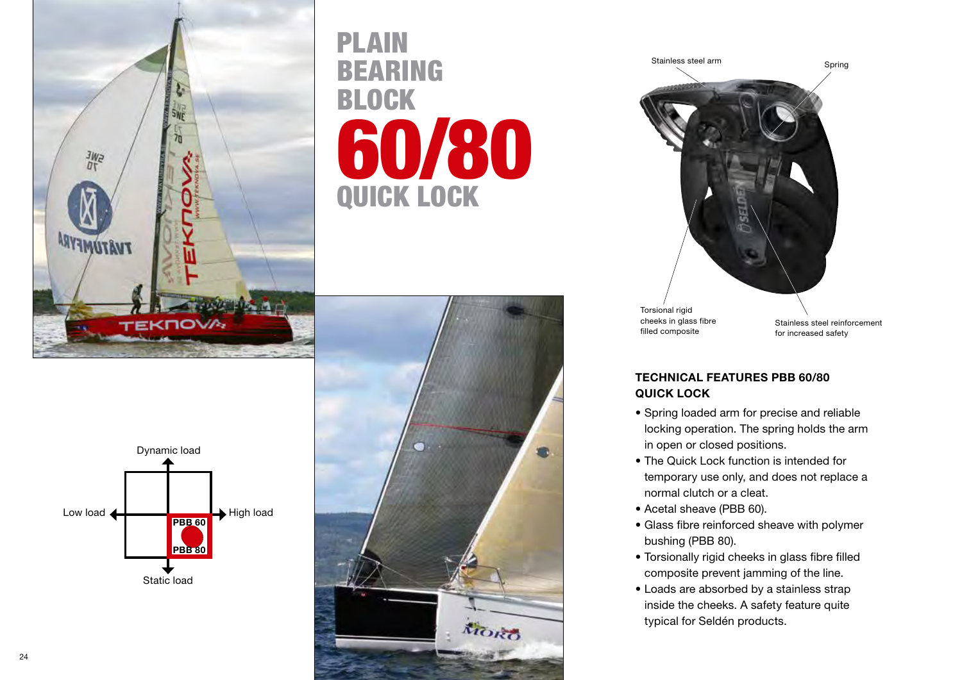

## PLAIN BEARING BLOCK 60/80 QUICK LOCK





TECHNICAL FEATURES PBB 60/80

- Spring loaded arm for precise and reliable locking operation. The spring holds the arm in open or closed positions.
- The Quick Lock function is intended for temporary use only, and does not replace a normal clutch or a cleat.
- Acetal sheave (PBB 60).

QUICK LOCK

- Glass fibre reinforced sheave with polymer bushing (PBB 80).
- Torsionally rigid cheeks in glass fibre filled composite prevent jamming of the line.
- Loads are absorbed by a stainless strap inside the cheeks. A safety feature quite typical for Seldén products.